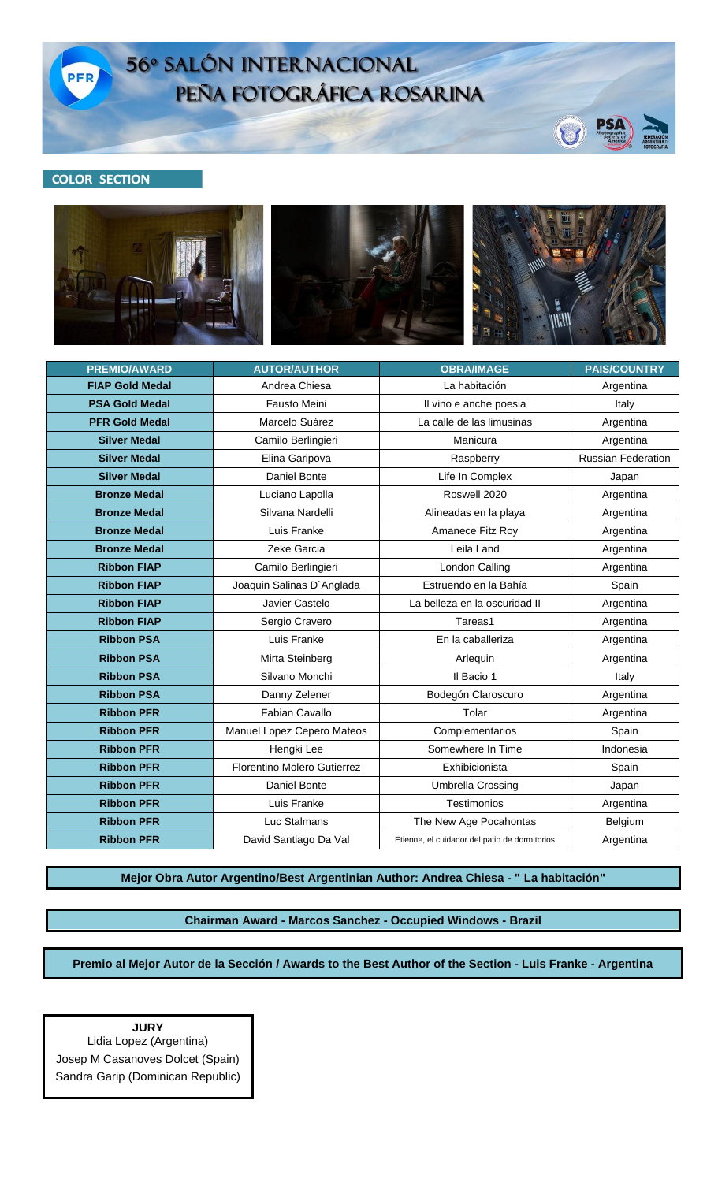

## 56° SALÓN INTERNACIONAL PEÑA FOTOGRÁFICA ROSARINA

## **COLOR SECTION**



U

| <b>PREMIO/AWARD</b>    | <b>AUTOR/AUTHOR</b>         | <b>OBRA/IMAGE</b>                             | <b>PAIS/COUNTRY</b>       |
|------------------------|-----------------------------|-----------------------------------------------|---------------------------|
| <b>FIAP Gold Medal</b> | Andrea Chiesa               | La habitación                                 | Argentina                 |
| <b>PSA Gold Medal</b>  | Fausto Meini                | Il vino e anche poesia                        | Italy                     |
| <b>PFR Gold Medal</b>  | Marcelo Suárez              | La calle de las limusinas                     | Argentina                 |
| <b>Silver Medal</b>    | Camilo Berlingieri          | Manicura                                      | Argentina                 |
| <b>Silver Medal</b>    | Elina Garipova              | Raspberry                                     | <b>Russian Federation</b> |
| <b>Silver Medal</b>    | Daniel Bonte                | Life In Complex                               | Japan                     |
| <b>Bronze Medal</b>    | Luciano Lapolla             | Roswell 2020                                  | Argentina                 |
| <b>Bronze Medal</b>    | Silvana Nardelli            | Alineadas en la playa                         | Argentina                 |
| <b>Bronze Medal</b>    | Luis Franke                 | Amanece Fitz Roy                              | Argentina                 |
| <b>Bronze Medal</b>    | Zeke Garcia                 | Leila Land                                    | Argentina                 |
| <b>Ribbon FIAP</b>     | Camilo Berlingieri          | London Calling                                | Argentina                 |
| <b>Ribbon FIAP</b>     | Joaquin Salinas D'Anglada   | Estruendo en la Bahía                         | Spain                     |
| <b>Ribbon FIAP</b>     | Javier Castelo              | La belleza en la oscuridad II                 | Argentina                 |
| <b>Ribbon FIAP</b>     | Sergio Cravero              | Tareas1                                       | Argentina                 |
| <b>Ribbon PSA</b>      | Luis Franke                 | En la caballeriza                             | Argentina                 |
| <b>Ribbon PSA</b>      | Mirta Steinberg             | Arlequin                                      | Argentina                 |
| <b>Ribbon PSA</b>      | Silvano Monchi              | Il Bacio 1                                    | Italy                     |
| <b>Ribbon PSA</b>      | Danny Zelener               | Bodegón Claroscuro                            | Argentina                 |
| <b>Ribbon PFR</b>      | Fabian Cavallo              | Tolar                                         | Argentina                 |
| <b>Ribbon PFR</b>      | Manuel Lopez Cepero Mateos  | Complementarios                               | Spain                     |
| <b>Ribbon PFR</b>      | Hengki Lee                  | Somewhere In Time                             | Indonesia                 |
| <b>Ribbon PFR</b>      | Florentino Molero Gutierrez | Exhibicionista                                | Spain                     |
| <b>Ribbon PFR</b>      | Daniel Bonte                | Umbrella Crossing                             | Japan                     |
| <b>Ribbon PFR</b>      | Luis Franke                 | Testimonios                                   | Argentina                 |
| <b>Ribbon PFR</b>      | Luc Stalmans                | The New Age Pocahontas                        | Belgium                   |
| <b>Ribbon PFR</b>      | David Santiago Da Val       | Etienne, el cuidador del patio de dormitorios | Argentina                 |

**Mejor Obra Autor Argentino/Best Argentinian Author: Andrea Chiesa - " La habitación"**

**Chairman Award - Marcos Sanchez - Occupied Windows - Brazil**

**Premio al Mejor Autor de la Sección / Awards to the Best Author of the Section - Luis Franke - Argentina**

**JURY** Lidia Lopez (Argentina) Josep M Casanoves Dolcet (Spain) Sandra Garip (Dominican Republic)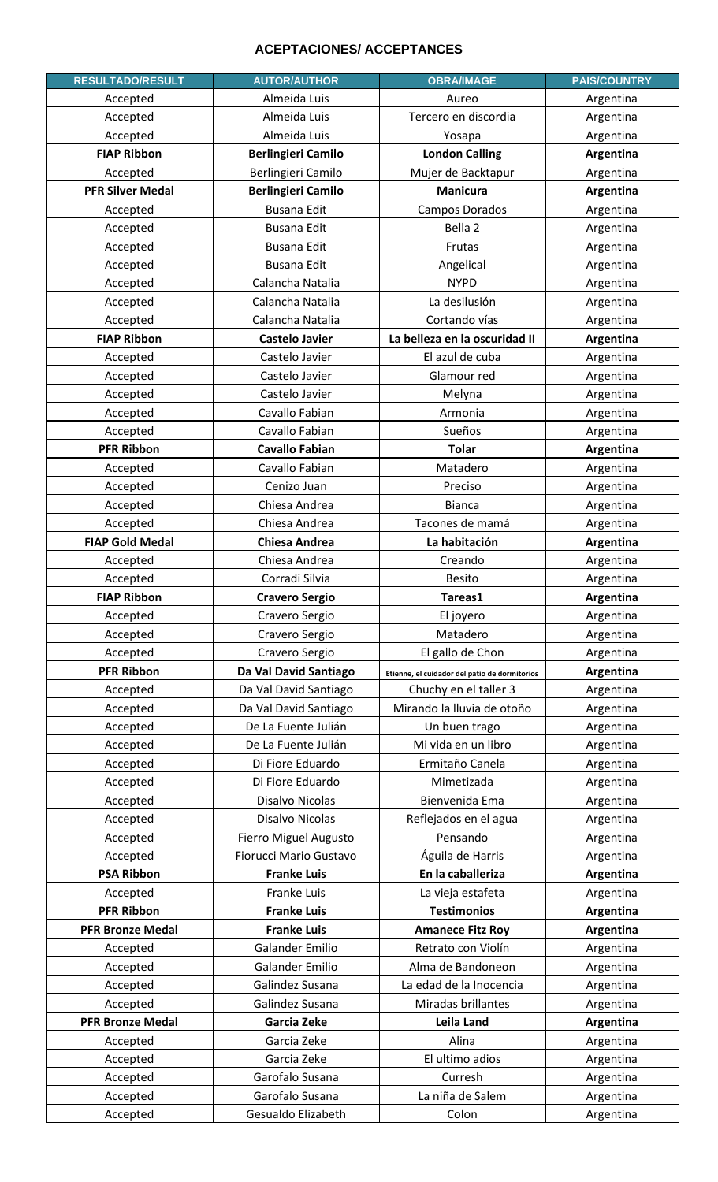## **ACEPTACIONES/ ACCEPTANCES**

| <b>RESULTADO/RESULT</b> | <b>AUTOR/AUTHOR</b>       | <b>OBRA/IMAGE</b>                             | <b>PAIS/COUNTRY</b> |
|-------------------------|---------------------------|-----------------------------------------------|---------------------|
| Accepted                | Almeida Luis              | Aureo                                         | Argentina           |
| Accepted                | Almeida Luis              | Tercero en discordia                          | Argentina           |
| Accepted                | Almeida Luis              | Yosapa                                        | Argentina           |
| <b>FIAP Ribbon</b>      | <b>Berlingieri Camilo</b> | <b>London Calling</b>                         | Argentina           |
| Accepted                | Berlingieri Camilo        | Mujer de Backtapur                            | Argentina           |
| <b>PFR Silver Medal</b> | <b>Berlingieri Camilo</b> | <b>Manicura</b>                               | Argentina           |
| Accepted                | <b>Busana Edit</b>        | Campos Dorados                                | Argentina           |
| Accepted                | <b>Busana Edit</b>        | Bella 2                                       | Argentina           |
| Accepted                | <b>Busana Edit</b>        | Frutas                                        | Argentina           |
| Accepted                | <b>Busana Edit</b>        | Angelical                                     | Argentina           |
| Accepted                | Calancha Natalia          | <b>NYPD</b>                                   | Argentina           |
| Accepted                | Calancha Natalia          | La desilusión                                 | Argentina           |
| Accepted                | Calancha Natalia          | Cortando vías                                 | Argentina           |
| <b>FIAP Ribbon</b>      | <b>Castelo Javier</b>     | La belleza en la oscuridad II                 | Argentina           |
| Accepted                | Castelo Javier            | El azul de cuba                               | Argentina           |
| Accepted                | Castelo Javier            | Glamour red                                   | Argentina           |
| Accepted                | Castelo Javier            | Melyna                                        | Argentina           |
| Accepted                | Cavallo Fabian            | Armonia                                       | Argentina           |
| Accepted                | Cavallo Fabian            | Sueños                                        | Argentina           |
| <b>PFR Ribbon</b>       | <b>Cavallo Fabian</b>     | <b>Tolar</b>                                  | Argentina           |
| Accepted                | Cavallo Fabian            | Matadero                                      | Argentina           |
| Accepted                | Cenizo Juan               | Preciso                                       | Argentina           |
| Accepted                | Chiesa Andrea             | <b>Bianca</b>                                 | Argentina           |
| Accepted                | Chiesa Andrea             | Tacones de mamá                               | Argentina           |
| <b>FIAP Gold Medal</b>  | <b>Chiesa Andrea</b>      | La habitación                                 | Argentina           |
| Accepted                | Chiesa Andrea             | Creando                                       | Argentina           |
| Accepted                | Corradi Silvia            | <b>Besito</b>                                 | Argentina           |
| <b>FIAP Ribbon</b>      | <b>Cravero Sergio</b>     | Tareas1                                       | Argentina           |
| Accepted                | Cravero Sergio            | El joyero                                     | Argentina           |
| Accepted                | Cravero Sergio            | Matadero                                      | Argentina           |
| Accepted                | Cravero Sergio            | El gallo de Chon                              | Argentina           |
| <b>PFR Ribbon</b>       | Da Val David Santiago     | Etienne, el cuidador del patio de dormitorios | Argentina           |
| Accepted                | Da Val David Santiago     | Chuchy en el taller 3                         | Argentina           |
| Accepted                | Da Val David Santiago     | Mirando la lluvia de otoño                    | Argentina           |
| Accepted                | De La Fuente Julián       | Un buen trago                                 | Argentina           |
| Accepted                | De La Fuente Julián       | Mi vida en un libro                           | Argentina           |
| Accepted                | Di Fiore Eduardo          | Ermitaño Canela                               | Argentina           |
| Accepted                | Di Fiore Eduardo          | Mimetizada                                    | Argentina           |
| Accepted                | Disalvo Nicolas           | Bienvenida Ema                                | Argentina           |
| Accepted                | Disalvo Nicolas           | Reflejados en el agua                         | Argentina           |
| Accepted                | Fierro Miguel Augusto     | Pensando                                      | Argentina           |
| Accepted                | Fiorucci Mario Gustavo    | Águila de Harris                              | Argentina           |
| <b>PSA Ribbon</b>       | <b>Franke Luis</b>        | En la caballeriza                             | Argentina           |
| Accepted                | Franke Luis               | La vieja estafeta                             | Argentina           |
| <b>PFR Ribbon</b>       | <b>Franke Luis</b>        | <b>Testimonios</b>                            | Argentina           |
| <b>PFR Bronze Medal</b> | <b>Franke Luis</b>        | <b>Amanece Fitz Roy</b>                       | Argentina           |
| Accepted                | <b>Galander Emilio</b>    | Retrato con Violín                            | Argentina           |
| Accepted                | <b>Galander Emilio</b>    | Alma de Bandoneon                             | Argentina           |
| Accepted                | Galindez Susana           | La edad de la Inocencia                       | Argentina           |
| Accepted                | Galindez Susana           | Miradas brillantes                            | Argentina           |
| <b>PFR Bronze Medal</b> | Garcia Zeke               | <b>Leila Land</b>                             | Argentina           |
| Accepted                | Garcia Zeke               | Alina                                         | Argentina           |
| Accepted                | Garcia Zeke               | El ultimo adios                               | Argentina           |
| Accepted                | Garofalo Susana           | Curresh                                       | Argentina           |
| Accepted                | Garofalo Susana           | La niña de Salem                              | Argentina           |
| Accepted                | Gesualdo Elizabeth        | Colon                                         | Argentina           |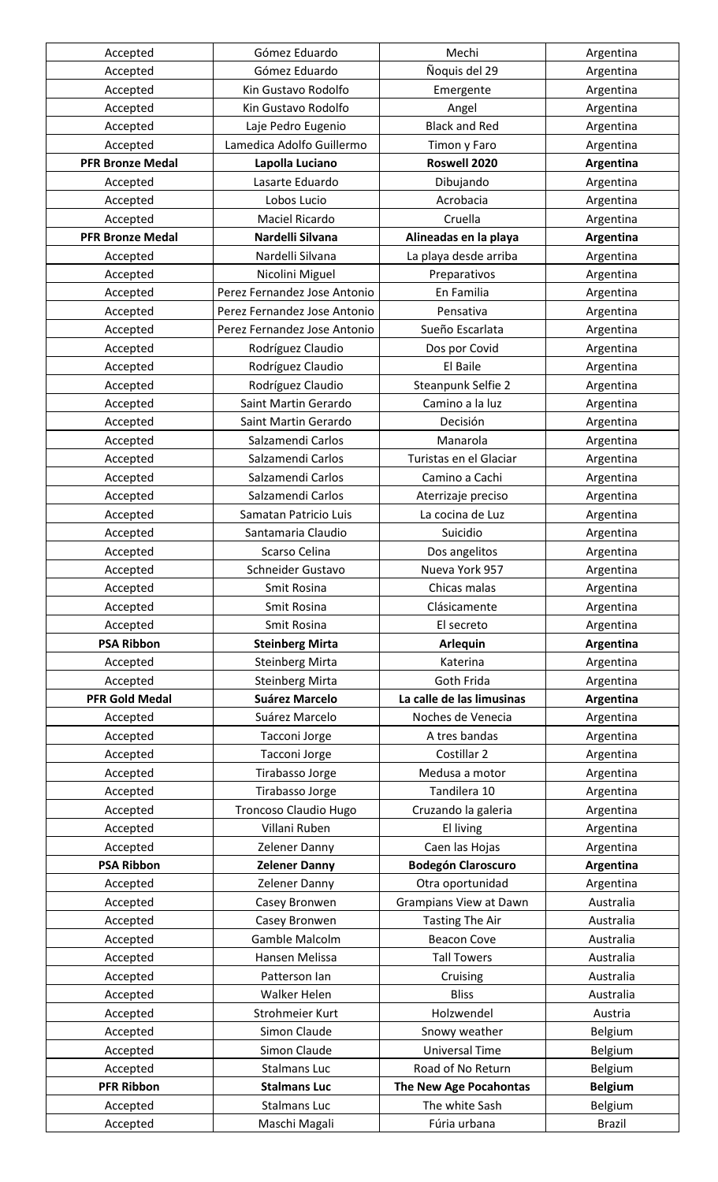| Accepted                | Gómez Eduardo                | Mechi                         | Argentina      |
|-------------------------|------------------------------|-------------------------------|----------------|
| Accepted                | Gómez Eduardo                | Ñoquis del 29                 | Argentina      |
| Accepted                | Kin Gustavo Rodolfo          | Emergente                     | Argentina      |
| Accepted                | Kin Gustavo Rodolfo          | Angel                         | Argentina      |
| Accepted                | Laje Pedro Eugenio           | <b>Black and Red</b>          | Argentina      |
| Accepted                | Lamedica Adolfo Guillermo    | Timon y Faro                  | Argentina      |
| <b>PFR Bronze Medal</b> | Lapolla Luciano              | Roswell 2020                  | Argentina      |
| Accepted                | Lasarte Eduardo              | Dibujando                     | Argentina      |
| Accepted                | Lobos Lucio                  | Acrobacia                     | Argentina      |
| Accepted                | Maciel Ricardo               | Cruella                       | Argentina      |
| <b>PFR Bronze Medal</b> | Nardelli Silvana             | Alineadas en la playa         | Argentina      |
| Accepted                | Nardelli Silvana             | La playa desde arriba         | Argentina      |
| Accepted                | Nicolini Miguel              | Preparativos                  | Argentina      |
| Accepted                | Perez Fernandez Jose Antonio | En Familia                    | Argentina      |
| Accepted                | Perez Fernandez Jose Antonio | Pensativa                     | Argentina      |
| Accepted                | Perez Fernandez Jose Antonio | Sueño Escarlata               | Argentina      |
| Accepted                | Rodríguez Claudio            | Dos por Covid                 | Argentina      |
|                         | Rodríguez Claudio            | El Baile                      |                |
| Accepted                |                              |                               | Argentina      |
| Accepted                | Rodríguez Claudio            | Steanpunk Selfie 2            | Argentina      |
| Accepted                | Saint Martin Gerardo         | Camino a la luz               | Argentina      |
| Accepted                | Saint Martin Gerardo         | Decisión                      | Argentina      |
| Accepted                | Salzamendi Carlos            | Manarola                      | Argentina      |
| Accepted                | Salzamendi Carlos            | Turistas en el Glaciar        | Argentina      |
| Accepted                | Salzamendi Carlos            | Camino a Cachi                | Argentina      |
| Accepted                | Salzamendi Carlos            | Aterrizaje preciso            | Argentina      |
| Accepted                | Samatan Patricio Luis        | La cocina de Luz              | Argentina      |
| Accepted                | Santamaria Claudio           | Suicidio                      | Argentina      |
| Accepted                | Scarso Celina                | Dos angelitos                 | Argentina      |
| Accepted                | Schneider Gustavo            | Nueva York 957                | Argentina      |
| Accepted                | Smit Rosina                  | Chicas malas                  | Argentina      |
| Accepted                | Smit Rosina                  | Clásicamente                  | Argentina      |
| Accepted                | Smit Rosina                  | El secreto                    | Argentina      |
| <b>PSA Ribbon</b>       | <b>Steinberg Mirta</b>       | <b>Arlequin</b>               | Argentina      |
| Accepted                | <b>Steinberg Mirta</b>       | Katerina                      | Argentina      |
| Accepted                | <b>Steinberg Mirta</b>       | Goth Frida                    | Argentina      |
| <b>PFR Gold Medal</b>   | <b>Suárez Marcelo</b>        | La calle de las limusinas     | Argentina      |
| Accepted                | Suárez Marcelo               | Noches de Venecia             | Argentina      |
| Accepted                | Tacconi Jorge                | A tres bandas                 | Argentina      |
| Accepted                | Tacconi Jorge                | Costillar 2                   | Argentina      |
| Accepted                | Tirabasso Jorge              | Medusa a motor                | Argentina      |
| Accepted                | Tirabasso Jorge              | Tandilera 10                  | Argentina      |
| Accepted                | <b>Troncoso Claudio Hugo</b> | Cruzando la galeria           | Argentina      |
| Accepted                | Villani Ruben                | El living                     | Argentina      |
| Accepted                | Zelener Danny                | Caen las Hojas                | Argentina      |
| <b>PSA Ribbon</b>       | <b>Zelener Danny</b>         | <b>Bodegón Claroscuro</b>     | Argentina      |
| Accepted                | Zelener Danny                | Otra oportunidad              | Argentina      |
| Accepted                | Casey Bronwen                | <b>Grampians View at Dawn</b> | Australia      |
| Accepted                | Casey Bronwen                | <b>Tasting The Air</b>        | Australia      |
| Accepted                | Gamble Malcolm               | <b>Beacon Cove</b>            | Australia      |
| Accepted                | Hansen Melissa               | <b>Tall Towers</b>            | Australia      |
| Accepted                | Patterson Ian                | Cruising                      | Australia      |
| Accepted                | <b>Walker Helen</b>          | <b>Bliss</b>                  | Australia      |
| Accepted                | Strohmeier Kurt              | Holzwendel                    | Austria        |
| Accepted                | Simon Claude                 | Snowy weather                 | Belgium        |
| Accepted                | <b>Simon Claude</b>          | <b>Universal Time</b>         | <b>Belgium</b> |
| Accepted                | <b>Stalmans Luc</b>          | Road of No Return             | Belgium        |
| <b>PFR Ribbon</b>       | <b>Stalmans Luc</b>          | The New Age Pocahontas        | <b>Belgium</b> |
| Accepted                | <b>Stalmans Luc</b>          | The white Sash                | Belgium        |
| Accepted                | Maschi Magali                | Fúria urbana                  | <b>Brazil</b>  |
|                         |                              |                               |                |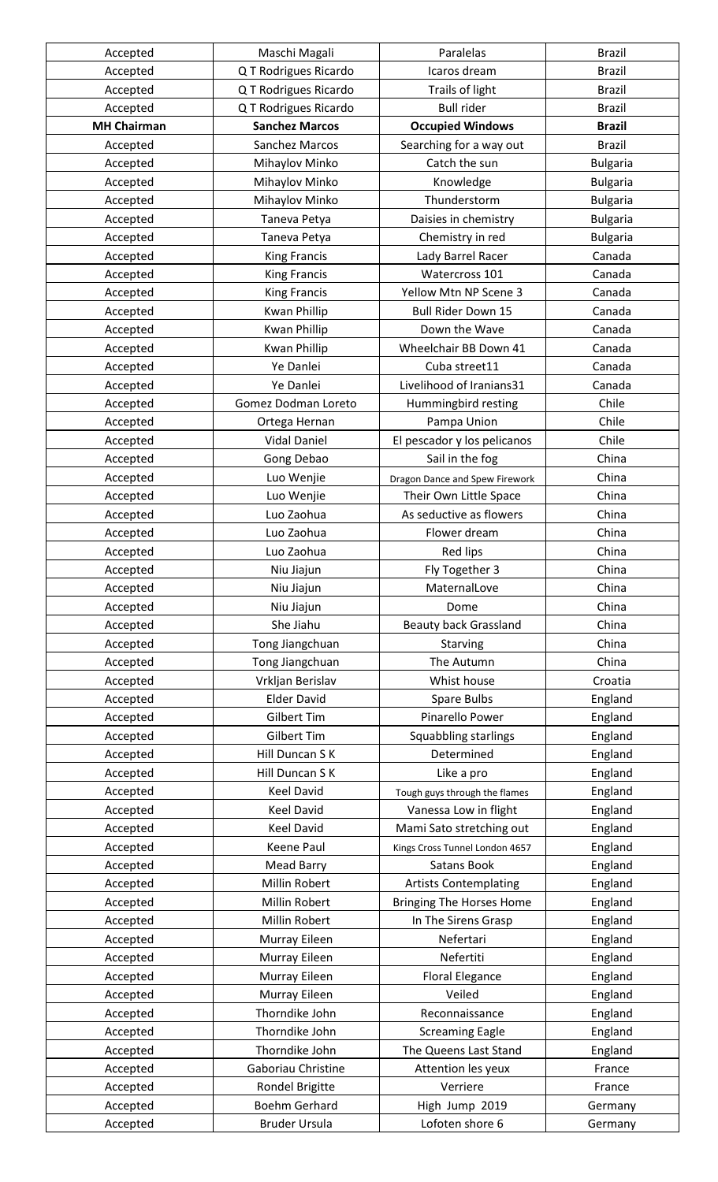| Accepted           | Maschi Magali         | Paralelas                                                | <b>Brazil</b>   |
|--------------------|-----------------------|----------------------------------------------------------|-----------------|
| Accepted           | Q T Rodrigues Ricardo | Icaros dream                                             | <b>Brazil</b>   |
| Accepted           | Q T Rodrigues Ricardo | Trails of light                                          | <b>Brazil</b>   |
| Accepted           | Q T Rodrigues Ricardo | <b>Bull rider</b>                                        | <b>Brazil</b>   |
| <b>MH Chairman</b> | <b>Sanchez Marcos</b> | <b>Occupied Windows</b>                                  | <b>Brazil</b>   |
| Accepted           | Sanchez Marcos        | Searching for a way out                                  | <b>Brazil</b>   |
| Accepted           | Mihaylov Minko        | Catch the sun                                            | <b>Bulgaria</b> |
| Accepted           | Mihaylov Minko        | Knowledge                                                | <b>Bulgaria</b> |
| Accepted           | Mihaylov Minko        | Thunderstorm                                             | <b>Bulgaria</b> |
| Accepted           | Taneva Petya          | Daisies in chemistry                                     | <b>Bulgaria</b> |
| Accepted           | Taneva Petya          | Chemistry in red                                         | <b>Bulgaria</b> |
| Accepted           | <b>King Francis</b>   | Lady Barrel Racer                                        | Canada          |
| Accepted           | <b>King Francis</b>   | Watercross 101                                           | Canada          |
| Accepted           | <b>King Francis</b>   | Yellow Mtn NP Scene 3                                    | Canada          |
| Accepted           | <b>Kwan Phillip</b>   | <b>Bull Rider Down 15</b>                                | Canada          |
| Accepted           | <b>Kwan Phillip</b>   | Down the Wave                                            | Canada          |
| Accepted           | <b>Kwan Phillip</b>   | Wheelchair BB Down 41                                    | Canada          |
| Accepted           | Ye Danlei             | Cuba street11                                            | Canada          |
| Accepted           | Ye Danlei             | Livelihood of Iranians31                                 | Canada          |
| Accepted           | Gomez Dodman Loreto   | Hummingbird resting                                      | Chile           |
| Accepted           | Ortega Hernan         | Pampa Union                                              | Chile           |
| Accepted           | <b>Vidal Daniel</b>   | El pescador y los pelicanos                              | Chile           |
| Accepted           | Gong Debao            | Sail in the fog                                          | China           |
| Accepted           | Luo Wenjie            |                                                          | China           |
| Accepted           | Luo Wenjie            | Dragon Dance and Spew Firework<br>Their Own Little Space | China           |
| Accepted           | Luo Zaohua            | As seductive as flowers                                  | China           |
|                    | Luo Zaohua            | Flower dream                                             | China           |
| Accepted           |                       |                                                          |                 |
| Accepted           | Luo Zaohua            | Red lips                                                 | China           |
| Accepted           | Niu Jiajun            | Fly Together 3                                           | China           |
| Accepted           | Niu Jiajun            | MaternalLove                                             | China           |
| Accepted           | Niu Jiajun            | Dome                                                     | China           |
| Accepted           | She Jiahu             | <b>Beauty back Grassland</b>                             | China           |
| Accepted           | Tong Jiangchuan       | Starving                                                 | China           |
| Accepted           | Tong Jiangchuan       | The Autumn                                               | China           |
| Accepted           | Vrkljan Berislav      | Whist house                                              | Croatia         |
| Accepted           | <b>Elder David</b>    | Spare Bulbs                                              | England         |
| Accepted           | Gilbert Tim           | Pinarello Power                                          | England         |
| Accepted           | <b>Gilbert Tim</b>    | Squabbling starlings                                     | England         |
| Accepted           | Hill Duncan S K       | Determined                                               | England         |
| Accepted           | Hill Duncan S K       | Like a pro                                               | England         |
| Accepted           | <b>Keel David</b>     | Tough guys through the flames                            | England         |
| Accepted           | <b>Keel David</b>     | Vanessa Low in flight                                    | England         |
| Accepted           | <b>Keel David</b>     | Mami Sato stretching out                                 | England         |
| Accepted           | <b>Keene Paul</b>     | Kings Cross Tunnel London 4657                           | England         |
| Accepted           | <b>Mead Barry</b>     | <b>Satans Book</b>                                       | England         |
| Accepted           | Millin Robert         | <b>Artists Contemplating</b>                             | England         |
| Accepted           | Millin Robert         | <b>Bringing The Horses Home</b>                          | England         |
| Accepted           | Millin Robert         | In The Sirens Grasp                                      | England         |
| Accepted           | Murray Eileen         | Nefertari                                                | England         |
| Accepted           | Murray Eileen         | Nefertiti                                                | England         |
| Accepted           | Murray Eileen         | <b>Floral Elegance</b>                                   | England         |
| Accepted           | Murray Eileen         | Veiled                                                   | England         |
| Accepted           | Thorndike John        | Reconnaissance                                           | England         |
| Accepted           | Thorndike John        | <b>Screaming Eagle</b>                                   | England         |
| Accepted           | Thorndike John        | The Queens Last Stand                                    | England         |
| Accepted           | Gaboriau Christine    | Attention les yeux                                       | France          |
| Accepted           | Rondel Brigitte       | Verriere                                                 | France          |
| Accepted           | Boehm Gerhard         | High Jump 2019                                           | Germany         |
| Accepted           | <b>Bruder Ursula</b>  | Lofoten shore 6                                          | Germany         |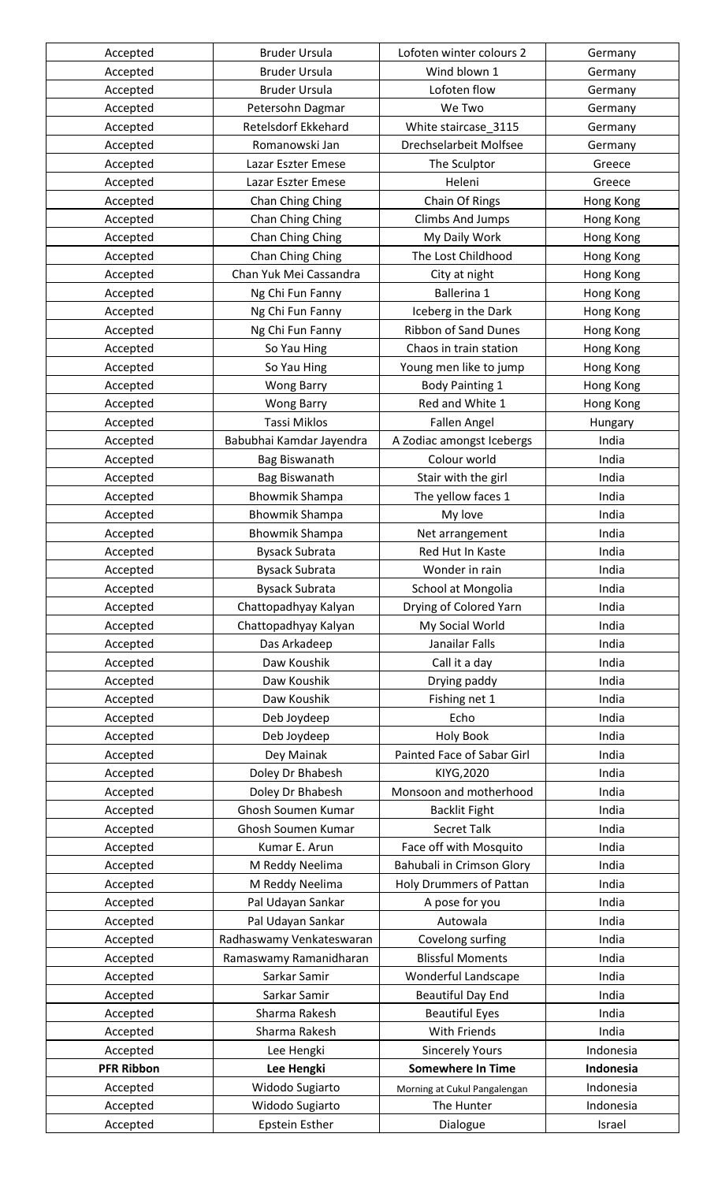| Accepted          | <b>Bruder Ursula</b>       | Lofoten winter colours 2     | Germany   |
|-------------------|----------------------------|------------------------------|-----------|
| Accepted          | <b>Bruder Ursula</b>       | Wind blown 1                 | Germany   |
| Accepted          | <b>Bruder Ursula</b>       | Lofoten flow                 | Germany   |
| Accepted          | Petersohn Dagmar           | We Two                       | Germany   |
| Accepted          | <b>Retelsdorf Ekkehard</b> | White staircase_3115         | Germany   |
| Accepted          | Romanowski Jan             | Drechselarbeit Molfsee       | Germany   |
| Accepted          | Lazar Eszter Emese         | The Sculptor                 | Greece    |
| Accepted          | Lazar Eszter Emese         | Heleni                       | Greece    |
| Accepted          | Chan Ching Ching           | Chain Of Rings               | Hong Kong |
| Accepted          | Chan Ching Ching           | <b>Climbs And Jumps</b>      | Hong Kong |
| Accepted          | Chan Ching Ching           | My Daily Work                | Hong Kong |
| Accepted          | Chan Ching Ching           | The Lost Childhood           | Hong Kong |
| Accepted          | Chan Yuk Mei Cassandra     | City at night                | Hong Kong |
| Accepted          | Ng Chi Fun Fanny           | Ballerina 1                  | Hong Kong |
| Accepted          | Ng Chi Fun Fanny           | Iceberg in the Dark          | Hong Kong |
| Accepted          | Ng Chi Fun Fanny           | <b>Ribbon of Sand Dunes</b>  | Hong Kong |
| Accepted          | So Yau Hing                | Chaos in train station       | Hong Kong |
| Accepted          | So Yau Hing                |                              |           |
|                   |                            | Young men like to jump       | Hong Kong |
| Accepted          | <b>Wong Barry</b>          | <b>Body Painting 1</b>       | Hong Kong |
| Accepted          | <b>Wong Barry</b>          | Red and White 1              | Hong Kong |
| Accepted          | <b>Tassi Miklos</b>        | <b>Fallen Angel</b>          | Hungary   |
| Accepted          | Babubhai Kamdar Jayendra   | A Zodiac amongst Icebergs    | India     |
| Accepted          | Bag Biswanath              | Colour world                 | India     |
| Accepted          | Bag Biswanath              | Stair with the girl          | India     |
| Accepted          | <b>Bhowmik Shampa</b>      | The yellow faces 1           | India     |
| Accepted          | <b>Bhowmik Shampa</b>      | My love                      | India     |
| Accepted          | <b>Bhowmik Shampa</b>      | Net arrangement              | India     |
| Accepted          | <b>Bysack Subrata</b>      | Red Hut In Kaste             | India     |
| Accepted          | <b>Bysack Subrata</b>      | Wonder in rain               | India     |
| Accepted          | <b>Bysack Subrata</b>      | School at Mongolia           | India     |
| Accepted          | Chattopadhyay Kalyan       | Drying of Colored Yarn       | India     |
| Accepted          | Chattopadhyay Kalyan       | My Social World              | India     |
| Accepted          | Das Arkadeep               | Janailar Falls               | India     |
| Accepted          | Daw Koushik                | Call it a day                | India     |
| Accepted          | Daw Koushik                | Drying paddy                 | India     |
| Accepted          | Daw Koushik                | Fishing net 1                | India     |
| Accepted          | Deb Joydeep                | Echo                         | India     |
| Accepted          | Deb Joydeep                | <b>Holy Book</b>             | India     |
| Accepted          | Dey Mainak                 | Painted Face of Sabar Girl   | India     |
| Accepted          | Doley Dr Bhabesh           | KIYG, 2020                   | India     |
| Accepted          | Doley Dr Bhabesh           | Monsoon and motherhood       | India     |
| Accepted          | Ghosh Soumen Kumar         | <b>Backlit Fight</b>         | India     |
| Accepted          | Ghosh Soumen Kumar         | <b>Secret Talk</b>           | India     |
| Accepted          | Kumar E. Arun              | Face off with Mosquito       | India     |
| Accepted          | M Reddy Neelima            | Bahubali in Crimson Glory    | India     |
| Accepted          | M Reddy Neelima            | Holy Drummers of Pattan      | India     |
| Accepted          | Pal Udayan Sankar          | A pose for you               | India     |
| Accepted          | Pal Udayan Sankar          | Autowala                     | India     |
| Accepted          | Radhaswamy Venkateswaran   | Covelong surfing             | India     |
| Accepted          | Ramaswamy Ramanidharan     | <b>Blissful Moments</b>      | India     |
| Accepted          | Sarkar Samir               | Wonderful Landscape          | India     |
| Accepted          | Sarkar Samir               | <b>Beautiful Day End</b>     | India     |
| Accepted          | Sharma Rakesh              | <b>Beautiful Eyes</b>        | India     |
| Accepted          | Sharma Rakesh              | With Friends                 | India     |
| Accepted          | Lee Hengki                 | <b>Sincerely Yours</b>       | Indonesia |
| <b>PFR Ribbon</b> | Lee Hengki                 | <b>Somewhere In Time</b>     | Indonesia |
| Accepted          | Widodo Sugiarto            | Morning at Cukul Pangalengan | Indonesia |
| Accepted          | Widodo Sugiarto            | The Hunter                   | Indonesia |
| Accepted          | Epstein Esther             | Dialogue                     | Israel    |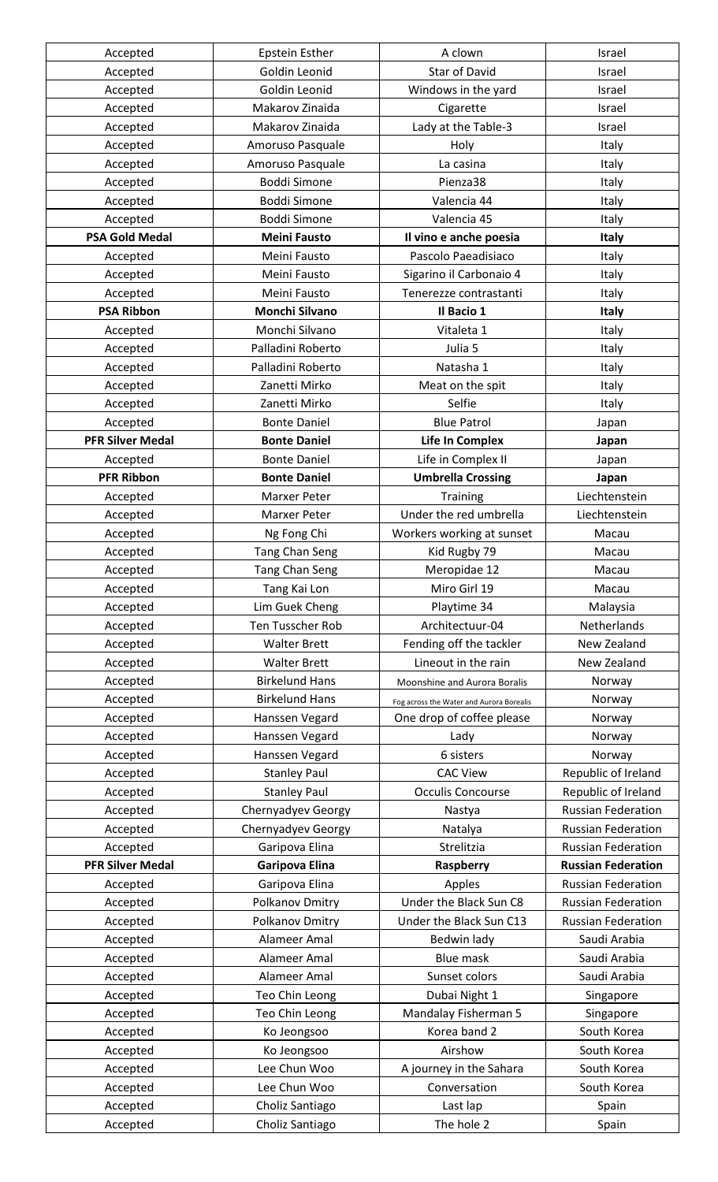| Accepted                | <b>Epstein Esther</b>   | A clown                                  | Israel                    |
|-------------------------|-------------------------|------------------------------------------|---------------------------|
| Accepted                | Goldin Leonid           | <b>Star of David</b>                     | Israel                    |
| Accepted                | Goldin Leonid           | Windows in the yard                      | Israel                    |
| Accepted                | Makarov Zinaida         | Cigarette                                | Israel                    |
| Accepted                | Makarov Zinaida         | Lady at the Table-3                      | Israel                    |
| Accepted                | Amoruso Pasquale        | Holy                                     | Italy                     |
| Accepted                | Amoruso Pasquale        | La casina                                | Italy                     |
| Accepted                | <b>Boddi Simone</b>     | Pienza38                                 | Italy                     |
| Accepted                | <b>Boddi Simone</b>     | Valencia 44                              | Italy                     |
| Accepted                | <b>Boddi Simone</b>     | Valencia 45                              | Italy                     |
| <b>PSA Gold Medal</b>   | <b>Meini Fausto</b>     | Il vino e anche poesia                   | <b>Italy</b>              |
| Accepted                | Meini Fausto            | Pascolo Paeadisiaco                      | Italy                     |
| Accepted                | Meini Fausto            | Sigarino il Carbonaio 4                  | Italy                     |
| Accepted                | Meini Fausto            | Tenerezze contrastanti                   | Italy                     |
| <b>PSA Ribbon</b>       | <b>Monchi Silvano</b>   | Il Bacio 1                               | <b>Italy</b>              |
| Accepted                | Monchi Silvano          | Vitaleta 1                               | Italy                     |
| Accepted                | Palladini Roberto       | Julia 5                                  | Italy                     |
| Accepted                | Palladini Roberto       | Natasha 1                                | Italy                     |
| Accepted                | Zanetti Mirko           | Meat on the spit                         | Italy                     |
| Accepted                | Zanetti Mirko           | Selfie                                   | Italy                     |
| Accepted                | <b>Bonte Daniel</b>     | <b>Blue Patrol</b>                       | Japan                     |
| <b>PFR Silver Medal</b> | <b>Bonte Daniel</b>     | <b>Life In Complex</b>                   | Japan                     |
| Accepted                | <b>Bonte Daniel</b>     | Life in Complex II                       | Japan                     |
| <b>PFR Ribbon</b>       | <b>Bonte Daniel</b>     | <b>Umbrella Crossing</b>                 | Japan                     |
|                         | <b>Marxer Peter</b>     | <b>Training</b>                          | Liechtenstein             |
| Accepted                | Marxer Peter            | Under the red umbrella                   | Liechtenstein             |
| Accepted                |                         |                                          | Macau                     |
| Accepted                | Ng Fong Chi             | Workers working at sunset                |                           |
| Accepted                | <b>Tang Chan Seng</b>   | Kid Rugby 79                             | Macau                     |
| Accepted                | <b>Tang Chan Seng</b>   | Meropidae 12                             | Macau                     |
| Accepted                | Tang Kai Lon            | Miro Girl 19                             | Macau                     |
| Accepted                | Lim Guek Cheng          | Playtime 34                              | Malaysia                  |
| Accepted                | <b>Ten Tusscher Rob</b> | Architectuur-04                          | Netherlands               |
| Accepted                | <b>Walter Brett</b>     | Fending off the tackler                  | New Zealand               |
| Accepted                | <b>Walter Brett</b>     | Lineout in the rain                      | New Zealand               |
| Accepted                | <b>Birkelund Hans</b>   | Moonshine and Aurora Boralis             | Norway                    |
| Accepted                | <b>Birkelund Hans</b>   | Fog across the Water and Aurora Borealis | Norway                    |
| Accepted                | Hanssen Vegard          | One drop of coffee please                | Norway                    |
| Accepted                | Hanssen Vegard          | Lady                                     | Norway                    |
| Accepted                | Hanssen Vegard          | 6 sisters                                | Norway                    |
| Accepted                | <b>Stanley Paul</b>     | <b>CAC View</b>                          | Republic of Ireland       |
| Accepted                | <b>Stanley Paul</b>     | <b>Occulis Concourse</b>                 | Republic of Ireland       |
| Accepted                | Chernyadyev Georgy      | Nastya                                   | <b>Russian Federation</b> |
| Accepted                | Chernyadyev Georgy      | Natalya                                  | <b>Russian Federation</b> |
| Accepted                | Garipova Elina          | Strelitzia                               | <b>Russian Federation</b> |
| <b>PFR Silver Medal</b> | Garipova Elina          | Raspberry                                | <b>Russian Federation</b> |
| Accepted                | Garipova Elina          | Apples                                   | <b>Russian Federation</b> |
| Accepted                | Polkanov Dmitry         | Under the Black Sun C8                   | <b>Russian Federation</b> |
| Accepted                | Polkanov Dmitry         | Under the Black Sun C13                  | <b>Russian Federation</b> |
| Accepted                | Alameer Amal            | Bedwin lady                              | Saudi Arabia              |
| Accepted                | Alameer Amal            | <b>Blue mask</b>                         | Saudi Arabia              |
| Accepted                | Alameer Amal            | Sunset colors                            | Saudi Arabia              |
| Accepted                | Teo Chin Leong          | Dubai Night 1                            | Singapore                 |
| Accepted                | Teo Chin Leong          | Mandalay Fisherman 5                     | Singapore                 |
| Accepted                | Ko Jeongsoo             | Korea band 2                             | South Korea               |
| Accepted                | Ko Jeongsoo             | Airshow                                  | South Korea               |
| Accepted                | Lee Chun Woo            | A journey in the Sahara                  | South Korea               |
| Accepted                | Lee Chun Woo            | Conversation                             | South Korea               |
| Accepted                | Choliz Santiago         | Last lap                                 | Spain                     |
| Accepted                | Choliz Santiago         | The hole 2                               | Spain                     |